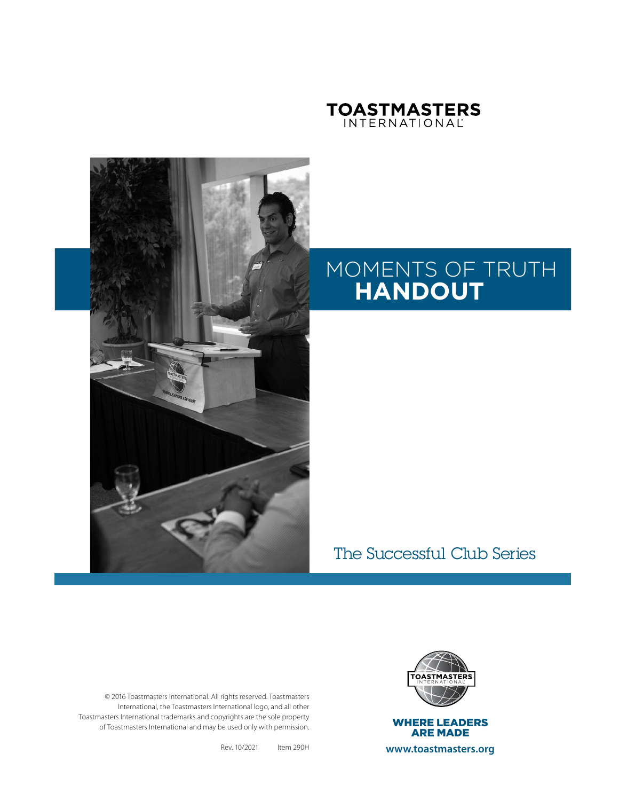



# MOMENTS OF TRUTH **HANDOUT**

The Successful Club Series

© 2016 Toastmasters International. All rights reserved. Toastmasters International, the Toastmasters International logo, and all other Toastmasters International trademarks and copyrights are the sole property of Toastmasters International and may be used only with permission.

Rev. 10/2021 Item 290H



**www.toastmasters.org**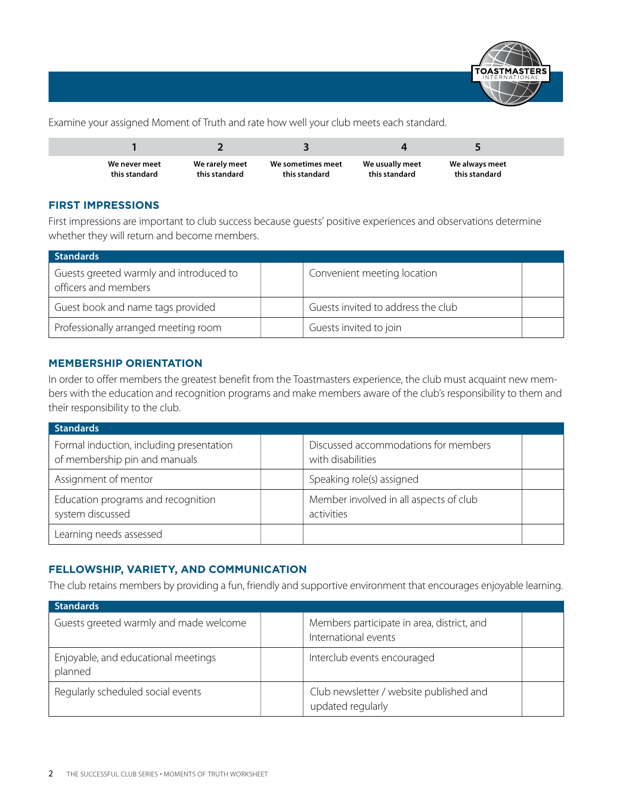

Examine your assigned Moment of Truth and rate how well your club meets each standard.

| We never meet | We rarely meet | We sometimes meet | We usually meet | We always meet |  |
|---------------|----------------|-------------------|-----------------|----------------|--|
| this standard | this standard  | this standard     | this standard   | this standard  |  |

#### **FIRST IMPRESSIONS**

First impressions are important to club success because guests' positive experiences and observations determine whether they will return and become members.

| <b>Standards</b>                                                |                                    |  |
|-----------------------------------------------------------------|------------------------------------|--|
| Guests greeted warmly and introduced to<br>officers and members | Convenient meeting location        |  |
| Guest book and name tags provided                               | Guests invited to address the club |  |
| Professionally arranged meeting room                            | Guests invited to join             |  |

#### **MEMBERSHIP ORIENTATION**

In order to offer members the greatest benefit from the Toastmasters experience, the club must acquaint new members with the education and recognition programs and make members aware of the club's responsibility to them and their responsibility to the club.

| <b>Standards</b>                                                          |                                                           |  |
|---------------------------------------------------------------------------|-----------------------------------------------------------|--|
| Formal induction, including presentation<br>of membership pin and manuals | Discussed accommodations for members<br>with disabilities |  |
| Assignment of mentor                                                      | Speaking role(s) assigned                                 |  |
| Education programs and recognition<br>system discussed                    | Member involved in all aspects of club<br>activities      |  |
| Learning needs assessed                                                   |                                                           |  |

#### **FELLOWSHIP, VARIETY, AND COMMUNICATION**

The club retains members by providing a fun, friendly and supportive environment that encourages enjoyable learning.

| <b>Standards</b>                               |  |                                                                    |  |  |  |
|------------------------------------------------|--|--------------------------------------------------------------------|--|--|--|
| Guests greeted warmly and made welcome         |  | Members participate in area, district, and<br>International events |  |  |  |
| Enjoyable, and educational meetings<br>planned |  | Interclub events encouraged                                        |  |  |  |
| Regularly scheduled social events              |  | Club newsletter / website published and<br>updated regularly       |  |  |  |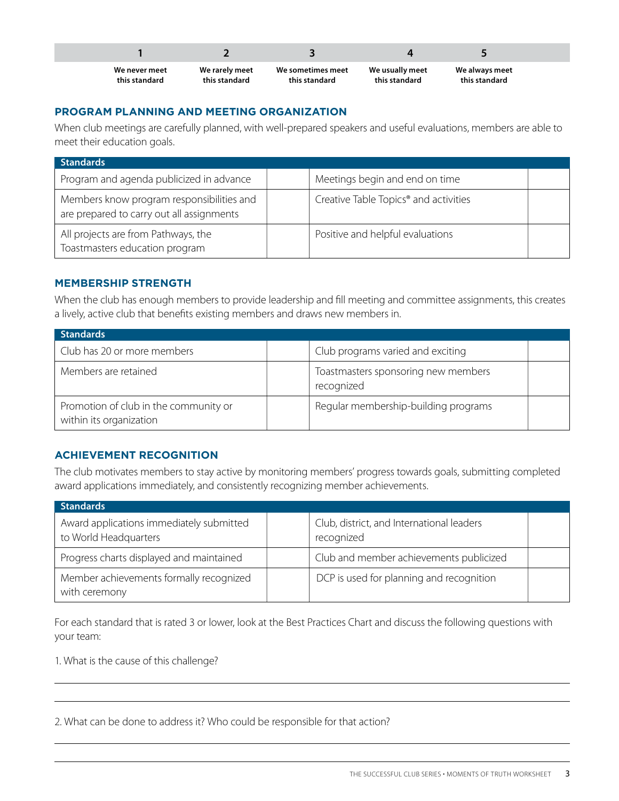| We never meet<br>this standard | We rarely meet<br>this standard | We sometimes meet<br>this standard | We usually meet<br>this standard | We always meet<br>this standard |  |
|--------------------------------|---------------------------------|------------------------------------|----------------------------------|---------------------------------|--|

#### **PROGRAM PLANNING AND MEETING ORGANIZATION**

When club meetings are carefully planned, with well-prepared speakers and useful evaluations, members are able to meet their education goals.

| <b>Standards</b>                                                                       |                                                   |  |
|----------------------------------------------------------------------------------------|---------------------------------------------------|--|
| Program and agenda publicized in advance                                               | Meetings begin and end on time                    |  |
| Members know program responsibilities and<br>are prepared to carry out all assignments | Creative Table Topics <sup>®</sup> and activities |  |
| All projects are from Pathways, the<br>Toastmasters education program                  | Positive and helpful evaluations                  |  |

#### **MEMBERSHIP STRENGTH**

When the club has enough members to provide leadership and fill meeting and committee assignments, this creates a lively, active club that benefits existing members and draws new members in.

| <b>Standards</b>                                                 |  |                                                   |  |  |
|------------------------------------------------------------------|--|---------------------------------------------------|--|--|
| Club has 20 or more members                                      |  | Club programs varied and exciting                 |  |  |
| Members are retained                                             |  | Toastmasters sponsoring new members<br>recognized |  |  |
| Promotion of club in the community or<br>within its organization |  | Regular membership-building programs              |  |  |

#### **ACHIEVEMENT RECOGNITION**

The club motivates members to stay active by monitoring members' progress towards goals, submitting completed award applications immediately, and consistently recognizing member achievements.

| <b>Standards</b>                                                  |                                                         |  |
|-------------------------------------------------------------------|---------------------------------------------------------|--|
| Award applications immediately submitted<br>to World Headquarters | Club, district, and International leaders<br>recognized |  |
| Progress charts displayed and maintained                          | Club and member achievements publicized                 |  |
| Member achievements formally recognized<br>with ceremony          | DCP is used for planning and recognition                |  |

For each standard that is rated 3 or lower, look at the Best Practices Chart and discuss the following questions with your team:

1. What is the cause of this challenge?

2. What can be done to address it? Who could be responsible for that action?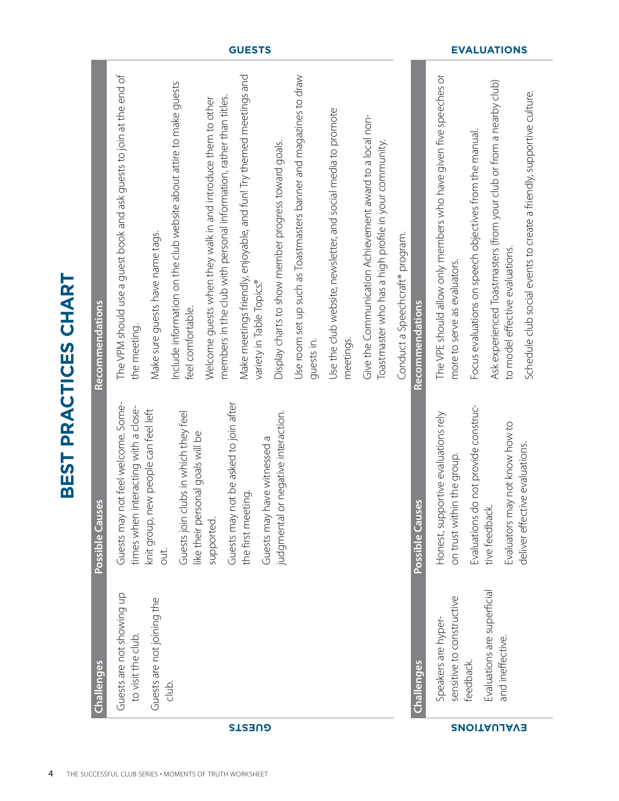|                    | <b>Challenges</b>                                | Possible Causes                                                                  | <b>Recommendations</b>                                                                                                             |
|--------------------|--------------------------------------------------|----------------------------------------------------------------------------------|------------------------------------------------------------------------------------------------------------------------------------|
|                    | Guests are not showing up<br>to visit the club.  | not feel welcome. Some-<br>interacting with a close-<br>Guests may<br>times when | The VPM should use a guest book and ask guests to join at the end of<br>the meeting.                                               |
|                    | Guests are not joining the                       | new people can feel left<br>knit group, I<br>out.                                | Make sure guests have name tags.                                                                                                   |
|                    | club.                                            | clubs in which they feel<br>like their personal goals will be<br>Guests join     | Include information on the club website about attire to make guests<br>feel comfortable.                                           |
|                    |                                                  | not be asked to join after<br>Guests may<br>supported.                           | members in the club with personal information, rather than titles.<br>Welcome guests when they walk in and introduce them to other |
| <b>GUESTS</b>      |                                                  | have witnessed a<br>the first meeting.<br>Guests may                             | Make meetings friendly, enjoyable, and fun! Try themed meetings and<br>variety in Table Topics.®                                   |
|                    |                                                  | or negative interaction.<br>judgmental                                           | Display charts to show member progress toward goals.                                                                               |
|                    |                                                  |                                                                                  | Use room set up such as Toastmasters banner and magazines to draw<br>guests in.                                                    |
|                    |                                                  |                                                                                  | Use the club website, newsletter, and social media to promote<br>meetings.                                                         |
|                    |                                                  |                                                                                  | Give the Communication Achievement award to a local non-<br>Toastmaster who has a high profile in your community.                  |
|                    |                                                  |                                                                                  | Conduct a Speechcraft® program.                                                                                                    |
|                    | Challenges                                       | Possible Causes                                                                  | <b>Recommendations</b>                                                                                                             |
|                    | sensitive to constructive<br>Speakers are hyper- | Honest, supportive evaluations rely<br>on trust within the group.                | The VPE should allow only members who have given five speeches or<br>more to serve as evaluators.                                  |
|                    | feedback.                                        | Evaluations do not provide construc-                                             | Focus evaluations on speech objectives from the manual.                                                                            |
| <b>SNOITAUJAVE</b> | Evaluations are superficial<br>and ineffective.  | Evaluators may not know how to<br>tive feedback.                                 | Ask experienced Toastmasters (from your club or from a nearby club)<br>to model effective evaluations.                             |
|                    |                                                  | deliver effective evaluations.                                                   | Schedule club social events to create a friendly, supportive culture.                                                              |

**BEST PRACTICES CHART**

BEST PRACTICES CHART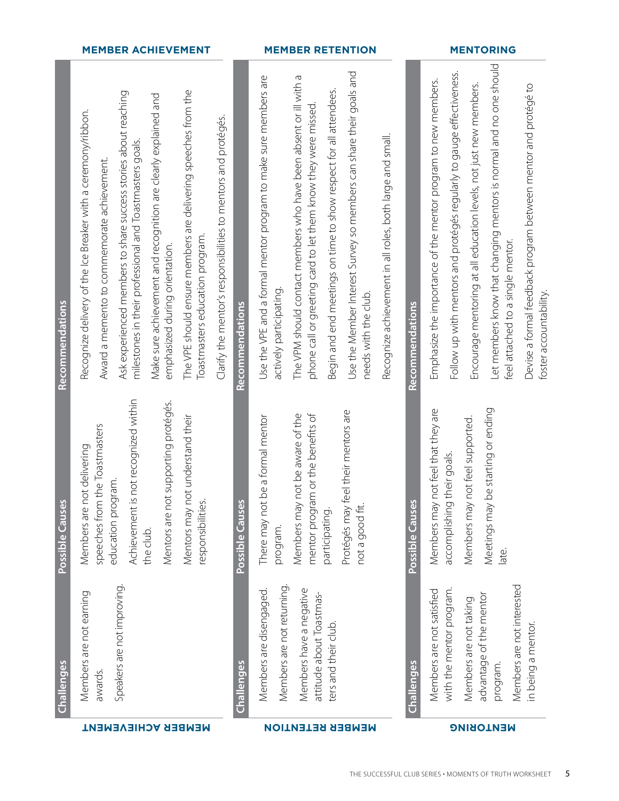|                   | <b>MEMBER ACHIEVEMENT</b>                                                                                                                                                                                                                                                                                                                                                                                                                                                                                               |                        | <b>MEMBER RETENTION</b>                                                                                                                                                                                                                                                                                                                                                                                                                                            |                        | <b>MENTORING</b>                                                                                                                                                                                                                                                                                                                                                                                                     |
|-------------------|-------------------------------------------------------------------------------------------------------------------------------------------------------------------------------------------------------------------------------------------------------------------------------------------------------------------------------------------------------------------------------------------------------------------------------------------------------------------------------------------------------------------------|------------------------|--------------------------------------------------------------------------------------------------------------------------------------------------------------------------------------------------------------------------------------------------------------------------------------------------------------------------------------------------------------------------------------------------------------------------------------------------------------------|------------------------|----------------------------------------------------------------------------------------------------------------------------------------------------------------------------------------------------------------------------------------------------------------------------------------------------------------------------------------------------------------------------------------------------------------------|
| Recommendations   | The VPE should ensure members are delivering speeches from the<br>Ask experienced members to share success stories about reaching<br>Make sure achievement and recognition are clearly explained and<br>Recognize delivery of the Ice Breaker with a ceremony/ribbon.<br>Clarify the mentor's responsibilities to mentors and protégés.<br>milestones in their professional and Toastmasters goals.<br>Award a memento to commemorate achievement.<br>Toastmasters education program.<br>emphasized during orientation. | <b>Recommendations</b> | Use the Member Interest Survey so members can share their goals and<br>The VPM should contact members who have been absent or ill with a<br>Use the VPE and a formal mentor program to make sure members are<br>Begin and end meetings on time to show respect for all attendees.<br>phone call or greeting card to let them know they were missed<br>Recognize achievement in all roles, both large and small.<br>actively participating.<br>needs with the club. | <b>Recommendations</b> | Let members know that changing mentors is normal and no one should<br>Follow up with mentors and protégés regularly to gauge effectiveness.<br>Emphasize the importance of the mentor program to new members.<br>Encourage mentoring at all education levels, not just new members.<br>Devise a formal feedback program between mentor and protégé to<br>feel attached to a single mentor.<br>foster accountability. |
| Possible Causes   | Achievement is not recognized within<br>Mentors are not supporting protégés.<br>Mentors may not understand their<br>the Toastmasters<br>Members are not delivering<br>education program.<br>speeches from<br>responsibilities<br>the club.                                                                                                                                                                                                                                                                              | Possible Causes        | eel their mentors are<br>not be aware of the<br>mentor program or the benefits of<br>be a formal mentor<br>There may not<br>Members may<br>Protégés may t<br>not a good fit.<br>participating.<br>program.                                                                                                                                                                                                                                                         | Possible Causes        | not feel that they are<br>be starting or ending<br>not feel supported.<br>accomplishing their goals.<br>Members may<br>Members may<br>Meetings may<br>late.                                                                                                                                                                                                                                                          |
| <b>Challenges</b> | Speakers are not improving<br>Members are not earning<br>awards.                                                                                                                                                                                                                                                                                                                                                                                                                                                        | Challenges             | Members are not returning.<br>Members are disengaged.<br>Members have a negative<br>attitude about Toastmas-<br>ters and their club                                                                                                                                                                                                                                                                                                                                | Challenges             | Members are not interested<br>with the mentor program.<br>Members are not satisfied<br>advantage of the mentor<br>Members are not taking<br>in being a mentor.<br>program.                                                                                                                                                                                                                                           |
|                   | <b>MEMBER ACHIEVEMENT</b>                                                                                                                                                                                                                                                                                                                                                                                                                                                                                               |                        | <b>MEMBER RETENTION</b>                                                                                                                                                                                                                                                                                                                                                                                                                                            |                        | <b>MENTORING</b>                                                                                                                                                                                                                                                                                                                                                                                                     |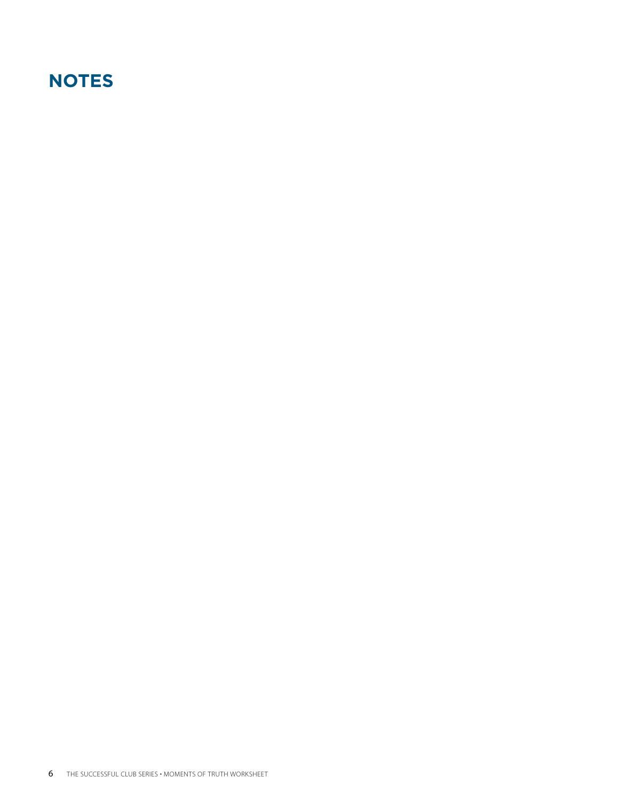## **NOTES**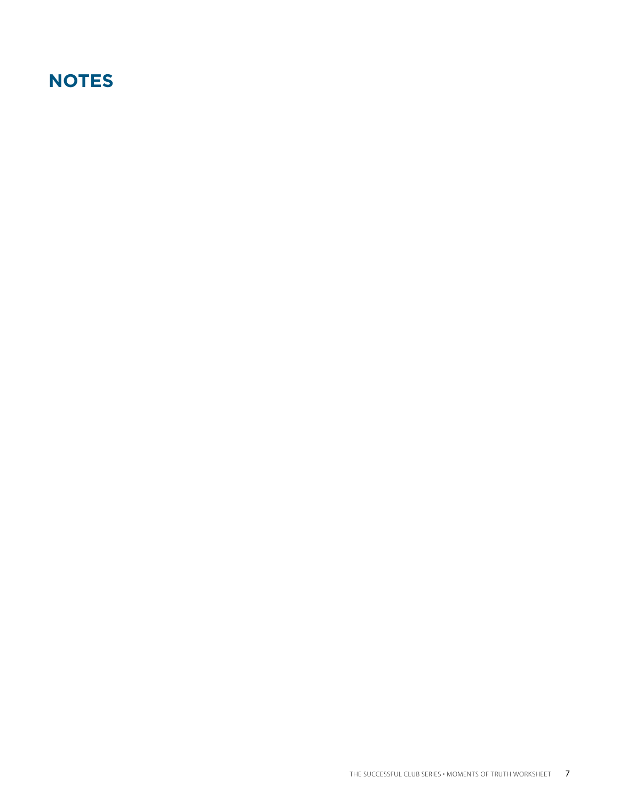### **NOTES**